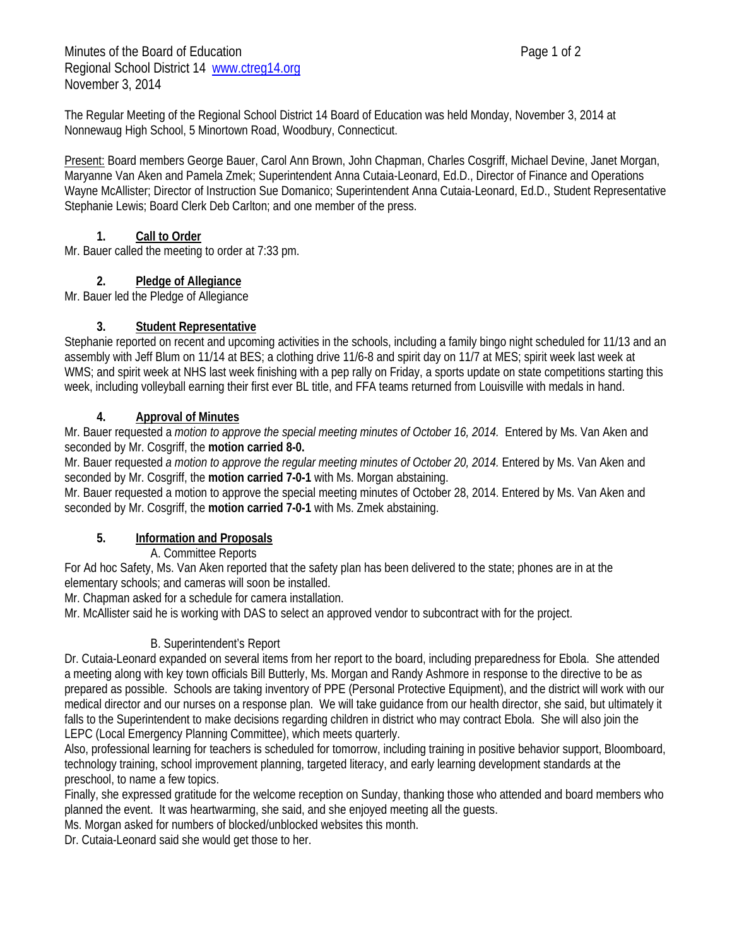The Regular Meeting of the Regional School District 14 Board of Education was held Monday, November 3, 2014 at Nonnewaug High School, 5 Minortown Road, Woodbury, Connecticut.

Present: Board members George Bauer, Carol Ann Brown, John Chapman, Charles Cosgriff, Michael Devine, Janet Morgan, Maryanne Van Aken and Pamela Zmek; Superintendent Anna Cutaia-Leonard, Ed.D., Director of Finance and Operations Wayne McAllister; Director of Instruction Sue Domanico; Superintendent Anna Cutaia-Leonard, Ed.D., Student Representative Stephanie Lewis; Board Clerk Deb Carlton; and one member of the press.

## **1. Call to Order**

Mr. Bauer called the meeting to order at 7:33 pm.

## **2. Pledge of Allegiance**

Mr. Bauer led the Pledge of Allegiance

## **3. Student Representative**

Stephanie reported on recent and upcoming activities in the schools, including a family bingo night scheduled for 11/13 and an assembly with Jeff Blum on 11/14 at BES; a clothing drive 11/6-8 and spirit day on 11/7 at MES; spirit week last week at WMS; and spirit week at NHS last week finishing with a pep rally on Friday, a sports update on state competitions starting this week, including volleyball earning their first ever BL title, and FFA teams returned from Louisville with medals in hand.

## **4. Approval of Minutes**

Mr. Bauer requested a *motion to approve the special meeting minutes of October 16, 2014.* Entered by Ms. Van Aken and seconded by Mr. Cosgriff, the **motion carried 8-0.**

Mr. Bauer requested *a motion to approve the regular meeting minutes of October 20, 2014*. Entered by Ms. Van Aken and seconded by Mr. Cosgriff, the **motion carried 7-0-1** with Ms. Morgan abstaining.

Mr. Bauer requested a motion to approve the special meeting minutes of October 28, 2014. Entered by Ms. Van Aken and seconded by Mr. Cosgriff, the **motion carried 7-0-1** with Ms. Zmek abstaining.

# **5. Information and Proposals**

A. Committee Reports

For Ad hoc Safety, Ms. Van Aken reported that the safety plan has been delivered to the state; phones are in at the elementary schools; and cameras will soon be installed.

Mr. Chapman asked for a schedule for camera installation.

Mr. McAllister said he is working with DAS to select an approved vendor to subcontract with for the project.

# B. Superintendent's Report

Dr. Cutaia-Leonard expanded on several items from her report to the board, including preparedness for Ebola. She attended a meeting along with key town officials Bill Butterly, Ms. Morgan and Randy Ashmore in response to the directive to be as prepared as possible. Schools are taking inventory of PPE (Personal Protective Equipment), and the district will work with our medical director and our nurses on a response plan. We will take guidance from our health director, she said, but ultimately it falls to the Superintendent to make decisions regarding children in district who may contract Ebola. She will also join the LEPC (Local Emergency Planning Committee), which meets quarterly.

Also, professional learning for teachers is scheduled for tomorrow, including training in positive behavior support, Bloomboard, technology training, school improvement planning, targeted literacy, and early learning development standards at the preschool, to name a few topics.

Finally, she expressed gratitude for the welcome reception on Sunday, thanking those who attended and board members who planned the event. It was heartwarming, she said, and she enjoyed meeting all the guests.

Ms. Morgan asked for numbers of blocked/unblocked websites this month.

Dr. Cutaia-Leonard said she would get those to her.